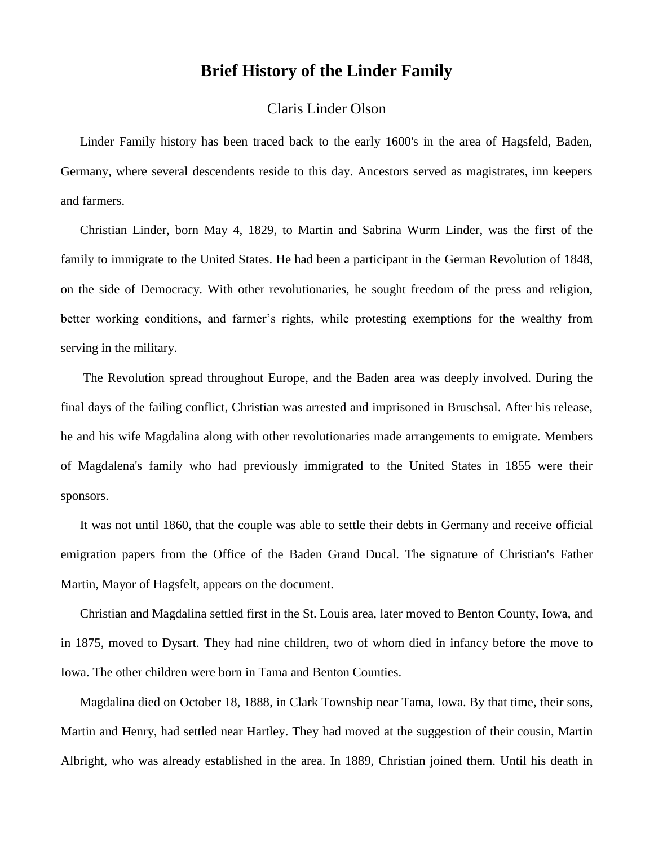## **Brief History of the Linder Family**

## Claris Linder Olson

Linder Family history has been traced back to the early 1600's in the area of Hagsfeld, Baden, Germany, where several descendents reside to this day. Ancestors served as magistrates, inn keepers and farmers.

Christian Linder, born May 4, 1829, to Martin and Sabrina Wurm Linder, was the first of the family to immigrate to the United States. He had been a participant in the German Revolution of 1848, on the side of Democracy. With other revolutionaries, he sought freedom of the press and religion, better working conditions, and farmer's rights, while protesting exemptions for the wealthy from serving in the military.

The Revolution spread throughout Europe, and the Baden area was deeply involved. During the final days of the failing conflict, Christian was arrested and imprisoned in Bruschsal. After his release, he and his wife Magdalina along with other revolutionaries made arrangements to emigrate. Members of Magdalena's family who had previously immigrated to the United States in 1855 were their sponsors.

It was not until 1860, that the couple was able to settle their debts in Germany and receive official emigration papers from the Office of the Baden Grand Ducal. The signature of Christian's Father Martin, Mayor of Hagsfelt, appears on the document.

Christian and Magdalina settled first in the St. Louis area, later moved to Benton County, Iowa, and in 1875, moved to Dysart. They had nine children, two of whom died in infancy before the move to Iowa. The other children were born in Tama and Benton Counties.

Magdalina died on October 18, 1888, in Clark Township near Tama, Iowa. By that time, their sons, Martin and Henry, had settled near Hartley. They had moved at the suggestion of their cousin, Martin Albright, who was already established in the area. In 1889, Christian joined them. Until his death in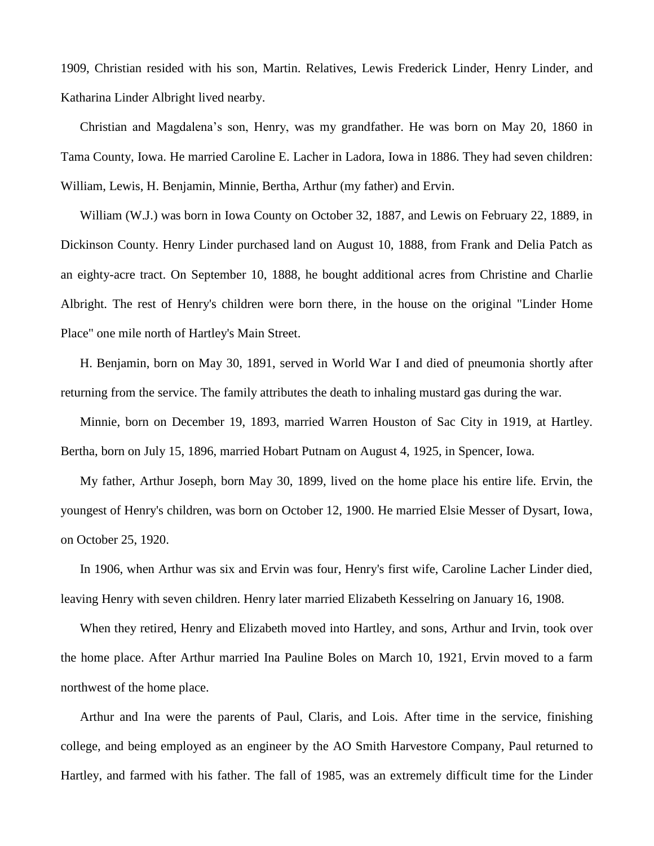1909, Christian resided with his son, Martin. Relatives, Lewis Frederick Linder, Henry Linder, and Katharina Linder Albright lived nearby.

Christian and Magdalena's son, Henry, was my grandfather. He was born on May 20, 1860 in Tama County, Iowa. He married Caroline E. Lacher in Ladora, Iowa in 1886. They had seven children: William, Lewis, H. Benjamin, Minnie, Bertha, Arthur (my father) and Ervin.

William (W.J.) was born in Iowa County on October 32, 1887, and Lewis on February 22, 1889, in Dickinson County. Henry Linder purchased land on August 10, 1888, from Frank and Delia Patch as an eighty-acre tract. On September 10, 1888, he bought additional acres from Christine and Charlie Albright. The rest of Henry's children were born there, in the house on the original "Linder Home Place" one mile north of Hartley's Main Street.

H. Benjamin, born on May 30, 1891, served in World War I and died of pneumonia shortly after returning from the service. The family attributes the death to inhaling mustard gas during the war.

Minnie, born on December 19, 1893, married Warren Houston of Sac City in 1919, at Hartley. Bertha, born on July 15, 1896, married Hobart Putnam on August 4, 1925, in Spencer, Iowa.

My father, Arthur Joseph, born May 30, 1899, lived on the home place his entire life. Ervin, the youngest of Henry's children, was born on October 12, 1900. He married Elsie Messer of Dysart, Iowa, on October 25, 1920.

In 1906, when Arthur was six and Ervin was four, Henry's first wife, Caroline Lacher Linder died, leaving Henry with seven children. Henry later married Elizabeth Kesselring on January 16, 1908.

When they retired, Henry and Elizabeth moved into Hartley, and sons, Arthur and Irvin, took over the home place. After Arthur married Ina Pauline Boles on March 10, 1921, Ervin moved to a farm northwest of the home place.

Arthur and Ina were the parents of Paul, Claris, and Lois. After time in the service, finishing college, and being employed as an engineer by the AO Smith Harvestore Company, Paul returned to Hartley, and farmed with his father. The fall of 1985, was an extremely difficult time for the Linder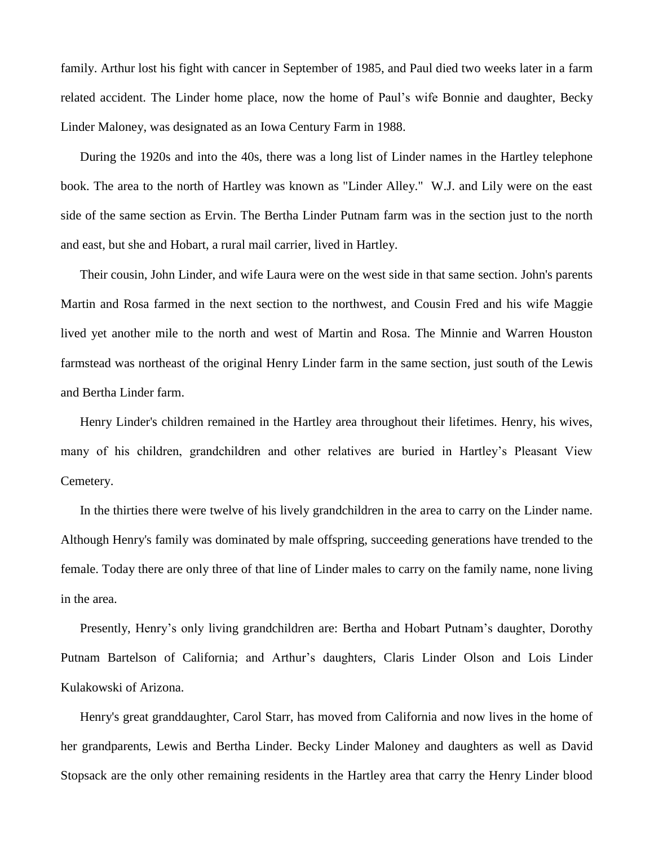family. Arthur lost his fight with cancer in September of 1985, and Paul died two weeks later in a farm related accident. The Linder home place, now the home of Paul's wife Bonnie and daughter, Becky Linder Maloney, was designated as an Iowa Century Farm in 1988.

During the 1920s and into the 40s, there was a long list of Linder names in the Hartley telephone book. The area to the north of Hartley was known as "Linder Alley." W.J. and Lily were on the east side of the same section as Ervin. The Bertha Linder Putnam farm was in the section just to the north and east, but she and Hobart, a rural mail carrier, lived in Hartley.

Their cousin, John Linder, and wife Laura were on the west side in that same section. John's parents Martin and Rosa farmed in the next section to the northwest, and Cousin Fred and his wife Maggie lived yet another mile to the north and west of Martin and Rosa. The Minnie and Warren Houston farmstead was northeast of the original Henry Linder farm in the same section, just south of the Lewis and Bertha Linder farm.

Henry Linder's children remained in the Hartley area throughout their lifetimes. Henry, his wives, many of his children, grandchildren and other relatives are buried in Hartley's Pleasant View Cemetery.

In the thirties there were twelve of his lively grandchildren in the area to carry on the Linder name. Although Henry's family was dominated by male offspring, succeeding generations have trended to the female. Today there are only three of that line of Linder males to carry on the family name, none living in the area.

Presently, Henry's only living grandchildren are: Bertha and Hobart Putnam's daughter, Dorothy Putnam Bartelson of California; and Arthur's daughters, Claris Linder Olson and Lois Linder Kulakowski of Arizona.

Henry's great granddaughter, Carol Starr, has moved from California and now lives in the home of her grandparents, Lewis and Bertha Linder. Becky Linder Maloney and daughters as well as David Stopsack are the only other remaining residents in the Hartley area that carry the Henry Linder blood